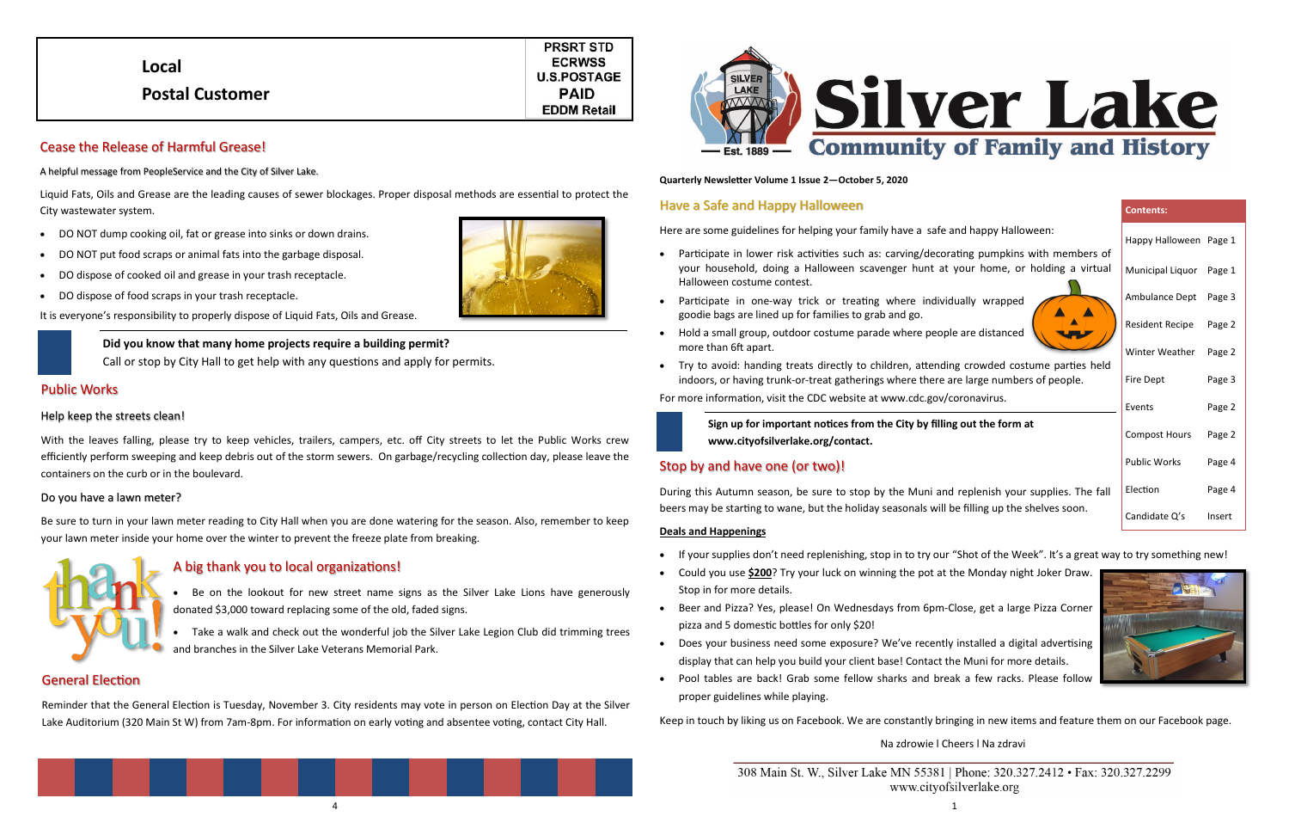#### **Quarterly Newsletter Volume 1 Issue 2—October 5, 2020**

### Have a Safe and Happy Halloween

Here are some guidelines for helping your family have a safe

- Participate in lower risk activities such as: carving/decorating pumpkins with members of your household, doing a Halloween scavenger hunt at your home, or holding a virtual Halloween costume contest.
- Participate in one-way trick or treating where individually wrapped goodie bags are lined up for families to grab and go.
- Hold a small group, outdoor costume parade where people are distanced more than 6ft apart.
- Try to avoid: handing treats directly to children, attending crowded costume parties held indoors, or having trunk-or-treat gatherings where there are large numbers of people.

For more information, visit the CDC website at www.cdc.gov/coronavirus.



# Stop by and have one (or two)!

During this Autumn season, be sure to stop by the Muni and replenish your supplies. The fall beers may be starting to wane, but the holiday seasonals will be filling up the shelves soon.

#### **Deals and Happenings**

- If your supplies don't need replenishing, stop in to try our "Shot of the Week". It's a great way to try something new!
- Could you use **\$200**? Try your luck on winning the pot at the Monday night Joker Draw. Stop in for more details.
- Beer and Pizza? Yes, please! On Wednesdays from 6pm-Close, get a large Pizza Corner pizza and 5 domestic bottles for only \$20!
- Does your business need some exposure? We've recently installed a digital advertising display that can help you build your client base! Contact the Muni for more details.
- Pool tables are back! Grab some fellow sharks and break a few racks. Please follow proper guidelines while playing.

Keep in touch by liking us on Facebook. We are constantly bringing in new items and feature them on our Facebook page.

Na zdrowie l Cheers l Na zdravi

#### **Contents:**

| Happy Halloween      | Page 1 |
|----------------------|--------|
| Municipal Liquor     | Page 1 |
| Ambulance Dept       | Page 3 |
| Resident Recipe      | Page 2 |
| Winter Weather       | Page 2 |
| Fire Dept            | Page 3 |
| Events               | Page 2 |
| <b>Compost Hours</b> | Page 2 |
| <b>Public Works</b>  | Page 4 |
| Flection             | Page 4 |
| Candidate Q's        | Insert |
|                      |        |



# Cease the Release of Harmful Grease!

A helpful message from PeopleService and the City of Silver Lake.

Liquid Fats, Oils and Grease are the leading causes of sewer blockages. Proper disposal methods are essential to protect the City wastewater system.

- DO NOT dump cooking oil, fat or grease into sinks or down drains.
- DO NOT put food scraps or animal fats into the garbage disposal.
- DO dispose of cooked oil and grease in your trash receptacle.
- DO dispose of food scraps in your trash receptacle.

It is everyone's responsibility to properly dispose of Liquid Fats, Oils and Grease.

### Public Works

#### Help keep the streets clean!

With the leaves falling, please try to keep vehicles, trailers, campers, etc. off City streets to let the Public Works crew efficiently perform sweeping and keep debris out of the storm sewers. On garbage/recycling collection day, please leave the containers on the curb or in the boulevard.

#### Do you have a lawn meter?

Be sure to turn in your lawn meter reading to City Hall when you are done watering for the season. Also, remember to keep your lawn meter inside your home over the winter to prevent the freeze plate from breaking.



|                        | <b>PRSRT STD</b>   |
|------------------------|--------------------|
| Local                  | <b>ECRWSS</b>      |
|                        | <b>U.S.POSTAGE</b> |
| <b>Postal Customer</b> | <b>PAID</b>        |
|                        | <b>EDDM Retail</b> |
|                        |                    |





|  |  | and happy Halloween: |
|--|--|----------------------|
|--|--|----------------------|





## General Election

Reminder that the General Election is Tuesday, November 3. City residents may vote in person on Election Day at the Silver Lake Auditorium (320 Main St W) from 7am-8pm. For information on early voting and absentee voting, contact City Hall.



**Sign up for important notices from the City by filling out the form at www.cityofsilverlake.org/contact.** 

**Did you know that many home projects require a building permit?**  Call or stop by City Hall to get help with any questions and apply for permits.

# A big thank you to local organizations!



• Take a walk and check out the wonderful job the Silver Lake Legion Club did trimming trees and branches in the Silver Lake Veterans Memorial Park.